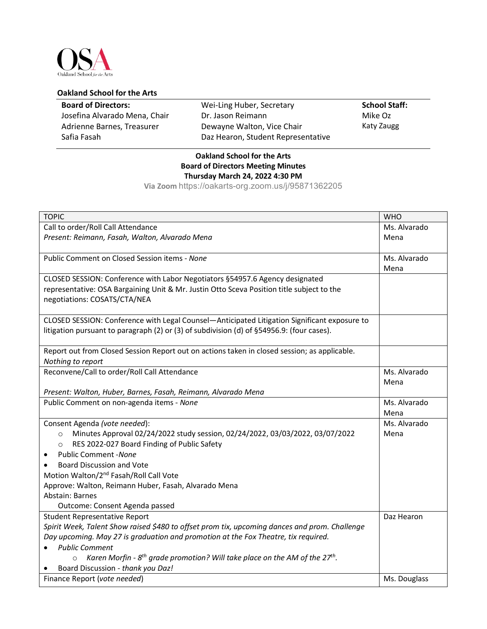

## **Oakland School for the Arts**

| <b>Board of Directors:</b>    | Wei-Ling Huber, Secretary          | <b>School Staff:</b> |
|-------------------------------|------------------------------------|----------------------|
| Josefina Alvarado Mena, Chair | Dr. Jason Reimann                  | Mike Oz              |
| Adrienne Barnes, Treasurer    | Dewayne Walton, Vice Chair         | Katy Zaugg           |
| Safia Fasah                   | Daz Hearon, Student Representative |                      |
|                               |                                    |                      |

## **Oakland School for the Arts Board of Directors Meeting Minutes Thursday March 24, 2022 4:30 PM**

**Via Zoom** https://oakarts-org.zoom.us/j/95871362205

| <b>TOPIC</b>                                                                                         | <b>WHO</b>   |
|------------------------------------------------------------------------------------------------------|--------------|
| Call to order/Roll Call Attendance                                                                   | Ms. Alvarado |
| Present: Reimann, Fasah, Walton, Alvarado Mena                                                       | Mena         |
|                                                                                                      |              |
| Public Comment on Closed Session items - None                                                        | Ms. Alvarado |
|                                                                                                      | Mena         |
| CLOSED SESSION: Conference with Labor Negotiators §54957.6 Agency designated                         |              |
| representative: OSA Bargaining Unit & Mr. Justin Otto Sceva Position title subject to the            |              |
| negotiations: COSATS/CTA/NEA                                                                         |              |
| CLOSED SESSION: Conference with Legal Counsel-Anticipated Litigation Significant exposure to         |              |
| litigation pursuant to paragraph (2) or (3) of subdivision (d) of §54956.9: (four cases).            |              |
|                                                                                                      |              |
| Report out from Closed Session Report out on actions taken in closed session; as applicable.         |              |
| Nothing to report                                                                                    |              |
| Reconvene/Call to order/Roll Call Attendance                                                         | Ms. Alvarado |
|                                                                                                      | Mena         |
| Present: Walton, Huber, Barnes, Fasah, Reimann, Alvarado Mena                                        |              |
| Public Comment on non-agenda items - None                                                            | Ms. Alvarado |
|                                                                                                      | Mena         |
| Consent Agenda (vote needed):                                                                        | Ms. Alvarado |
| Minutes Approval 02/24/2022 study session, 02/24/2022, 03/03/2022, 03/07/2022<br>$\circ$             | Mena         |
| RES 2022-027 Board Finding of Public Safety<br>$\circ$                                               |              |
| <b>Public Comment - None</b><br>$\bullet$                                                            |              |
| <b>Board Discussion and Vote</b>                                                                     |              |
| Motion Walton/2 <sup>nd</sup> Fasah/Roll Call Vote                                                   |              |
| Approve: Walton, Reimann Huber, Fasah, Alvarado Mena                                                 |              |
| Abstain: Barnes                                                                                      |              |
| Outcome: Consent Agenda passed                                                                       |              |
| <b>Student Representative Report</b>                                                                 | Daz Hearon   |
| Spirit Week, Talent Show raised \$480 to offset prom tix, upcoming dances and prom. Challenge        |              |
| Day upcoming. May 27 is graduation and promotion at the Fox Theatre, tix required.                   |              |
| <b>Public Comment</b>                                                                                |              |
| Karen Morfin - $8th$ grade promotion? Will take place on the AM of the 27 <sup>th</sup> .<br>$\circ$ |              |
| Board Discussion - thank you Daz!                                                                    |              |
| Finance Report (vote needed)                                                                         | Ms. Douglass |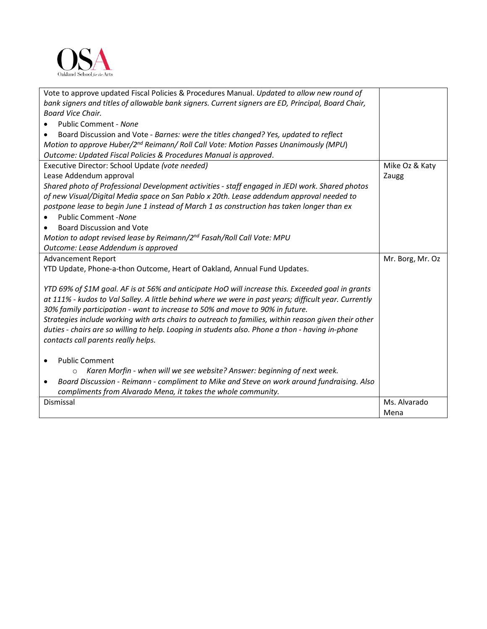

| Vote to approve updated Fiscal Policies & Procedures Manual. Updated to allow new round of            |                  |
|-------------------------------------------------------------------------------------------------------|------------------|
| bank signers and titles of allowable bank signers. Current signers are ED, Principal, Board Chair,    |                  |
| Board Vice Chair.                                                                                     |                  |
| Public Comment - None                                                                                 |                  |
| Board Discussion and Vote - Barnes: were the titles changed? Yes, updated to reflect                  |                  |
| Motion to approve Huber/2 <sup>nd</sup> Reimann/ Roll Call Vote: Motion Passes Unanimously (MPU)      |                  |
| Outcome: Updated Fiscal Policies & Procedures Manual is approved.                                     |                  |
| Executive Director: School Update (vote needed)                                                       | Mike Oz & Katy   |
| Lease Addendum approval                                                                               | Zaugg            |
| Shared photo of Professional Development activities - staff engaged in JEDI work. Shared photos       |                  |
| of new Visual/Digital Media space on San Pablo x 20th. Lease addendum approval needed to              |                  |
| postpone lease to begin June 1 instead of March 1 as construction has taken longer than ex            |                  |
| <b>Public Comment - None</b>                                                                          |                  |
| <b>Board Discussion and Vote</b>                                                                      |                  |
| Motion to adopt revised lease by Reimann/2 <sup>nd</sup> Fasah/Roll Call Vote: MPU                    |                  |
| Outcome: Lease Addendum is approved                                                                   |                  |
| <b>Advancement Report</b>                                                                             | Mr. Borg, Mr. Oz |
| YTD Update, Phone-a-thon Outcome, Heart of Oakland, Annual Fund Updates.                              |                  |
|                                                                                                       |                  |
| YTD 69% of \$1M goal. AF is at 56% and anticipate HoO will increase this. Exceeded goal in grants     |                  |
| at 111% - kudos to Val Salley. A little behind where we were in past years; difficult year. Currently |                  |
| 30% family participation - want to increase to 50% and move to 90% in future.                         |                  |
| Strategies include working with arts chairs to outreach to families, within reason given their other  |                  |
| duties - chairs are so willing to help. Looping in students also. Phone a thon - having in-phone      |                  |
| contacts call parents really helps.                                                                   |                  |
|                                                                                                       |                  |
| <b>Public Comment</b>                                                                                 |                  |
| Karen Morfin - when will we see website? Answer: beginning of next week.<br>$\circ$                   |                  |
| Board Discussion - Reimann - compliment to Mike and Steve on work around fundraising. Also<br>٠       |                  |
| compliments from Alvarado Mena, it takes the whole community.                                         |                  |
| Dismissal                                                                                             | Ms. Alvarado     |
|                                                                                                       | Mena             |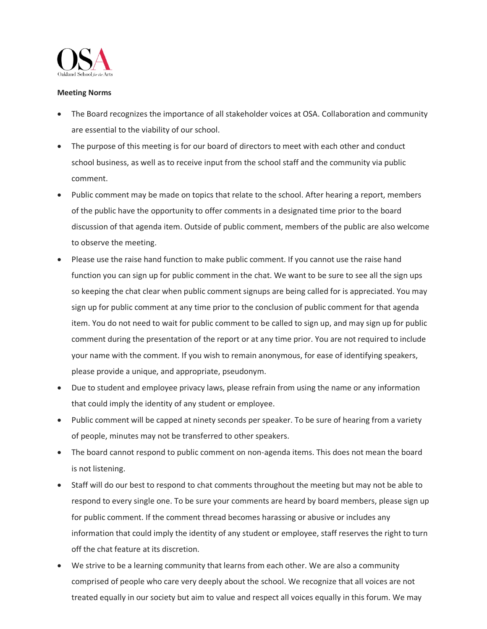

## **Meeting Norms**

- The Board recognizes the importance of all stakeholder voices at OSA. Collaboration and community are essential to the viability of our school.
- The purpose of this meeting is for our board of directors to meet with each other and conduct school business, as well as to receive input from the school staff and the community via public comment.
- Public comment may be made on topics that relate to the school. After hearing a report, members of the public have the opportunity to offer comments in a designated time prior to the board discussion of that agenda item. Outside of public comment, members of the public are also welcome to observe the meeting.
- Please use the raise hand function to make public comment. If you cannot use the raise hand function you can sign up for public comment in the chat. We want to be sure to see all the sign ups so keeping the chat clear when public comment signups are being called for is appreciated. You may sign up for public comment at any time prior to the conclusion of public comment for that agenda item. You do not need to wait for public comment to be called to sign up, and may sign up for public comment during the presentation of the report or at any time prior. You are not required to include your name with the comment. If you wish to remain anonymous, for ease of identifying speakers, please provide a unique, and appropriate, pseudonym.
- Due to student and employee privacy laws, please refrain from using the name or any information that could imply the identity of any student or employee.
- Public comment will be capped at ninety seconds per speaker. To be sure of hearing from a variety of people, minutes may not be transferred to other speakers.
- The board cannot respond to public comment on non-agenda items. This does not mean the board is not listening.
- Staff will do our best to respond to chat comments throughout the meeting but may not be able to respond to every single one. To be sure your comments are heard by board members, please sign up for public comment. If the comment thread becomes harassing or abusive or includes any information that could imply the identity of any student or employee, staff reserves the right to turn off the chat feature at its discretion.
- We strive to be a learning community that learns from each other. We are also a community comprised of people who care very deeply about the school. We recognize that all voices are not treated equally in our society but aim to value and respect all voices equally in this forum. We may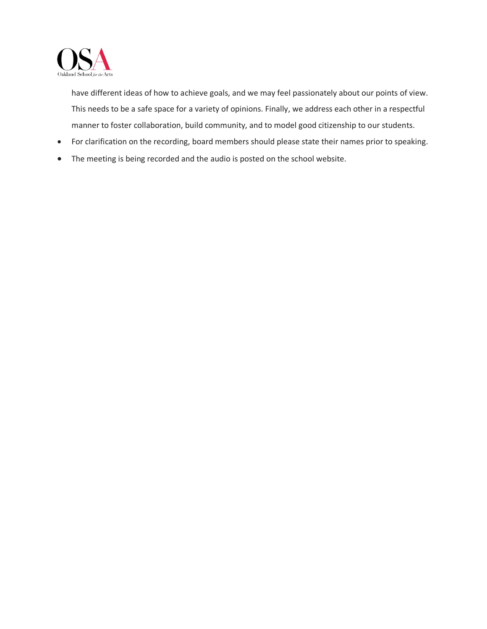

have different ideas of how to achieve goals, and we may feel passionately about our points of view. This needs to be a safe space for a variety of opinions. Finally, we address each other in a respectful manner to foster collaboration, build community, and to model good citizenship to our students.

- For clarification on the recording, board members should please state their names prior to speaking.
- The meeting is being recorded and the audio is posted on the school website.